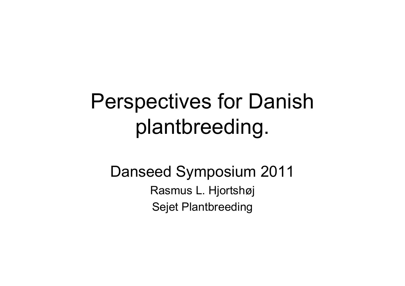# Perspectives for Danish plantbreeding.

### Danseed Symposium 2011 Rasmus L. Hjortshøj Sejet Plantbreeding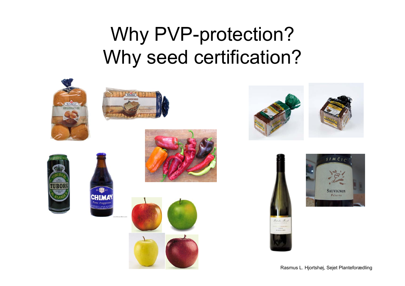### Why PVP-protection? Why seed certification?



















Rasmus L. Hjortshøj, Sejet Planteforædling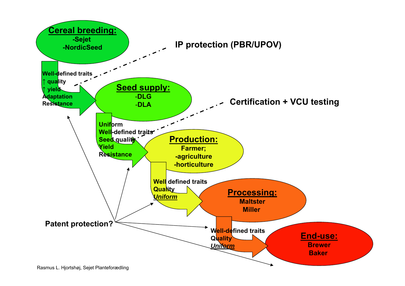

Rasmus L. Hjortshøj, Sejet Planteforædling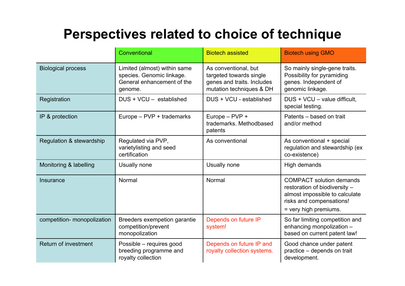#### **Perspectives related to choice of technique**

|                             | Conventional                                                                                       | <b>Biotech assisted</b>                                                                                   | <b>Biotech using GMO</b>                                                                                                                                |
|-----------------------------|----------------------------------------------------------------------------------------------------|-----------------------------------------------------------------------------------------------------------|---------------------------------------------------------------------------------------------------------------------------------------------------------|
| <b>Biological process</b>   | Limited (almost) within same<br>species. Genomic linkage.<br>General enhancement of the<br>genome. | As conventional, but<br>targeted towards single<br>genes and traits. Includes<br>mutation techniques & DH | So mainly single-gene traits.<br>Possibility for pyramiding<br>genes. Independent of<br>genomic linkage.                                                |
| Registration                | DUS + VCU - established                                                                            | DUS + VCU - established                                                                                   | DUS + VCU - value difficult.<br>special testing.                                                                                                        |
| IP & protection             | Europe - PVP + trademarks                                                                          | Europe - PVP +<br>trademarks. Methodbased<br>patents                                                      | Patents - based on trait<br>and/or method                                                                                                               |
| Regulation & stewardship    | Regulated via PVP,<br>varietylisting and seed<br>certification                                     | As conventional                                                                                           | As conventional + special<br>regulation and stewardship (ex<br>co-existence)                                                                            |
| Monitoring & labelling      | Usually none                                                                                       | Usually none                                                                                              | High demands                                                                                                                                            |
| Insurance                   | Normal                                                                                             | Normal                                                                                                    | <b>COMPACT</b> solution demands<br>restoration of biodiversity -<br>almost impossible to calculate<br>risks and compensations!<br>= very high premiums. |
| competition- monopolization | Breeders exempetion garantie<br>competition/prevent<br>monopolization                              | Depends on future IP<br>system!                                                                           | So far limiting competition and<br>enhancing monpolization -<br>based on current patent law!                                                            |
| Return of investment        | Possible - requires good<br>breeding programme and<br>royalty collection                           | Depends on future IP and<br>royalty collection systems.                                                   | Good chance under patent<br>practice – depends on trait<br>development.                                                                                 |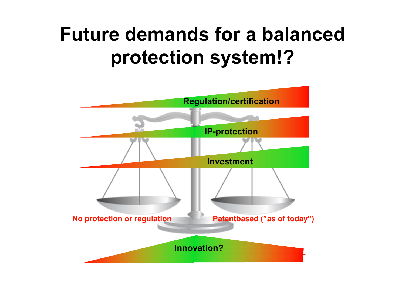### **Future demands for a balancedprotection system!?**

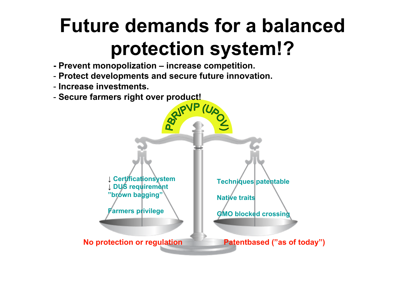## **Future demands for a balancedprotection system!?**

- **- Prevent monopolization – increase competition.**
- **Protect developments and secure future innovation.**
- **Increase investments.**
- **Secure farmers right over product!**